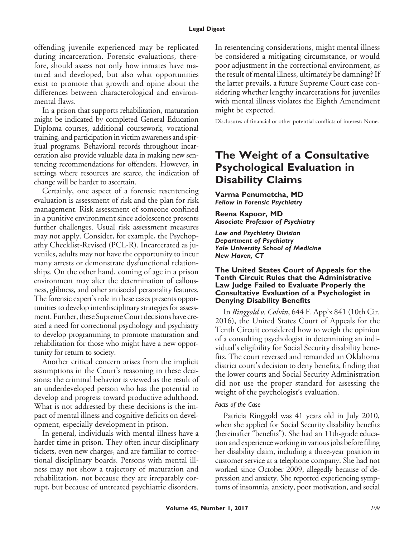offending juvenile experienced may be replicated during incarceration. Forensic evaluations, therefore, should assess not only how inmates have matured and developed, but also what opportunities exist to promote that growth and opine about the differences between characterological and environmental flaws.

In a prison that supports rehabilitation, maturation might be indicated by completed General Education Diploma courses, additional coursework, vocational training, and participation in victim awareness and spiritual programs. Behavioral records throughout incarceration also provide valuable data in making new sentencing recommendations for offenders. However, in settings where resources are scarce, the indication of change will be harder to ascertain.

Certainly, one aspect of a forensic resentencing evaluation is assessment of risk and the plan for risk management. Risk assessment of someone confined in a punitive environment since adolescence presents further challenges. Usual risk assessment measures may not apply. Consider, for example, the Psychopathy Checklist-Revised (PCL-R). Incarcerated as juveniles, adults may not have the opportunity to incur many arrests or demonstrate dysfunctional relationships. On the other hand, coming of age in a prison environment may alter the determination of callousness, glibness, and other antisocial personality features. The forensic expert's role in these cases presents opportunities to develop interdisciplinary strategies for assessment. Further, these Supreme Court decisions have created a need for correctional psychology and psychiatry to develop programming to promote maturation and rehabilitation for those who might have a new opportunity for return to society.

Another critical concern arises from the implicit assumptions in the Court's reasoning in these decisions: the criminal behavior is viewed as the result of an underdeveloped person who has the potential to develop and progress toward productive adulthood. What is not addressed by these decisions is the impact of mental illness and cognitive deficits on development, especially development in prison.

In general, individuals with mental illness have a harder time in prison. They often incur disciplinary tickets, even new charges, and are familiar to correctional disciplinary boards. Persons with mental illness may not show a trajectory of maturation and rehabilitation, not because they are irreparably corrupt, but because of untreated psychiatric disorders.

In resentencing considerations, might mental illness be considered a mitigating circumstance, or would poor adjustment in the correctional environment, as the result of mental illness, ultimately be damning? If the latter prevails, a future Supreme Court case considering whether lengthy incarcerations for juveniles with mental illness violates the Eighth Amendment might be expected.

Disclosures of financial or other potential conflicts of interest: None.

## **The Weight of a Consultative Psychological Evaluation in Disability Claims**

**Varma Penumetcha, MD** *Fellow in Forensic Psychiatry*

**Reena Kapoor, MD** *Associate Professor of Psychiatry*

*Law and Psychiatry Division Department of Psychiatry Yale University School of Medicine New Haven, CT*

### **The United States Court of Appeals for the Tenth Circuit Rules that the Administrative Law Judge Failed to Evaluate Properly the Consultative Evaluation of a Psychologist in Denying Disability Benefits**

In *Ringgold v. Colvin*, 644 F. App'x 841 (10th Cir. 2016), the United States Court of Appeals for the Tenth Circuit considered how to weigh the opinion of a consulting psychologist in determining an individual's eligibility for Social Security disability benefits. The court reversed and remanded an Oklahoma district court's decision to deny benefits, finding that the lower courts and Social Security Administration did not use the proper standard for assessing the weight of the psychologist's evaluation.

### *Facts of the Case*

Patricia Ringgold was 41 years old in July 2010, when she applied for Social Security disability benefits (hereinafter "benefits"). She had an 11th-grade education and experience working in various jobs before filing her disability claim, including a three-year position in customer service at a telephone company. She had not worked since October 2009, allegedly because of depression and anxiety. She reported experiencing symptoms of insomnia, anxiety, poor motivation, and social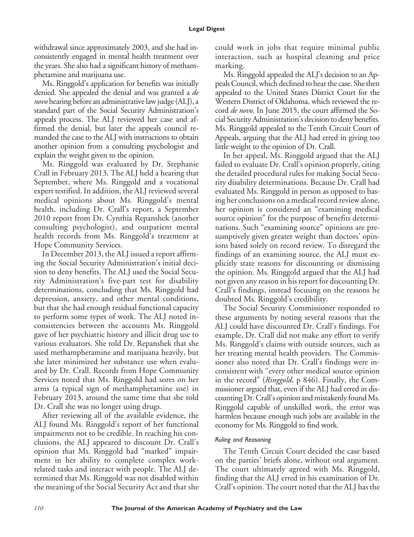withdrawal since approximately 2003, and she had inconsistently engaged in mental health treatment over the years. She also had a significant history of methamphetamine and marijuana use.

Ms. Ringgold's application for benefits was initially denied. She appealed the denial and was granted a *de novo* hearing before an administrative law judge (ALJ), a standard part of the Social Security Administration's appeals process. The ALJ reviewed her case and affirmed the denial, but later the appeals council remanded the case to the ALJ with instructions to obtain another opinion from a consulting psychologist and explain the weight given to the opinion.

Ms. Ringgold was evaluated by Dr. Stephanie Crall in February 2013. The ALJ held a hearing that September, where Ms. Ringgold and a vocational expert testified. In addition, the ALJ reviewed several medical opinions about Ms. Ringgold's mental health, including Dr. Crall's report, a September 2010 report from Dr. Cynthia Repanshek (another consulting psychologist), and outpatient mental health records from Ms. Ringgold's treatment at Hope Community Services.

In December 2013, the ALJ issued a report affirming the Social Security Administration's initial decision to deny benefits. The ALJ used the Social Security Administration's five-part test for disability determinations, concluding that Ms. Ringgold had depression, anxiety, and other mental conditions, but that she had enough residual functional capacity to perform some types of work. The ALJ noted inconsistencies between the accounts Ms. Ringgold gave of her psychiatric history and illicit drug use to various evaluators. She told Dr. Repanshek that she used methamphetamine and marijuana heavily, but she later minimized her substance use when evaluated by Dr. Crall. Records from Hope Community Services noted that Ms. Ringgold had sores on her arms (a typical sign of methamphetamine use) in February 2013, around the same time that she told Dr. Crall she was no longer using drugs.

After reviewing all of the available evidence, the ALJ found Ms. Ringgold's report of her functional impairments not to be credible. In reaching his conclusions, the ALJ appeared to discount Dr. Crall's opinion that Ms. Ringgold had "marked" impairment in her ability to complete complex workrelated tasks and interact with people. The ALJ determined that Ms. Ringgold was not disabled within the meaning of the Social Security Act and that she could work in jobs that require minimal public interaction, such as hospital cleaning and price marking.

Ms. Ringgold appealed the ALJ's decision to an Appeals Council, which declined to hear the case. She then appealed to the United States District Court for the Western District of Oklahoma, which reviewed the record *de novo*. In June 2015, the court affirmed the Social Security Administration's decision to deny benefits. Ms. Ringgold appealed to the Tenth Circuit Court of Appeals, arguing that the ALJ had erred in giving too little weight to the opinion of Dr. Crall.

In her appeal, Ms. Ringgold argued that the ALJ failed to evaluate Dr. Crall's opinion properly, citing the detailed procedural rules for making Social Security disability determinations. Because Dr. Crall had evaluated Ms. Ringgold in person as opposed to basing her conclusions on a medical record review alone, her opinion is considered an "examining medical source opinion" for the purpose of benefits determinations. Such "examining source" opinions are presumptively given greater weight than doctors' opinions based solely on record review. To disregard the findings of an examining source, the ALJ must explicitly state reasons for discounting or dismissing the opinion. Ms. Ringgold argued that the ALJ had not given any reason in his report for discounting Dr. Crall's findings, instead focusing on the reasons he doubted Ms. Ringgold's credibility.

The Social Security Commissioner responded to these arguments by noting several reasons that the ALJ could have discounted Dr. Crall's findings. For example, Dr. Crall did not make any effort to verify Ms. Ringgold's claims with outside sources, such as her treating mental health providers. The Commissioner also noted that Dr. Crall's findings were inconsistent with "every other medical source opinion in the record" (*Ringgold*, p 846). Finally, the Commissioner argued that, even if the ALJ had erred in discounting Dr. Crall's opinion and mistakenly found Ms. Ringgold capable of unskilled work, the error was harmless because enough such jobs are available in the economy for Ms. Ringgold to find work.

## *Ruling and Reasoning*

The Tenth Circuit Court decided the case based on the parties' briefs alone, without oral argument. The court ultimately agreed with Ms. Ringgold, finding that the ALJ erred in his examination of Dr. Crall's opinion. The court noted that the ALJ has the